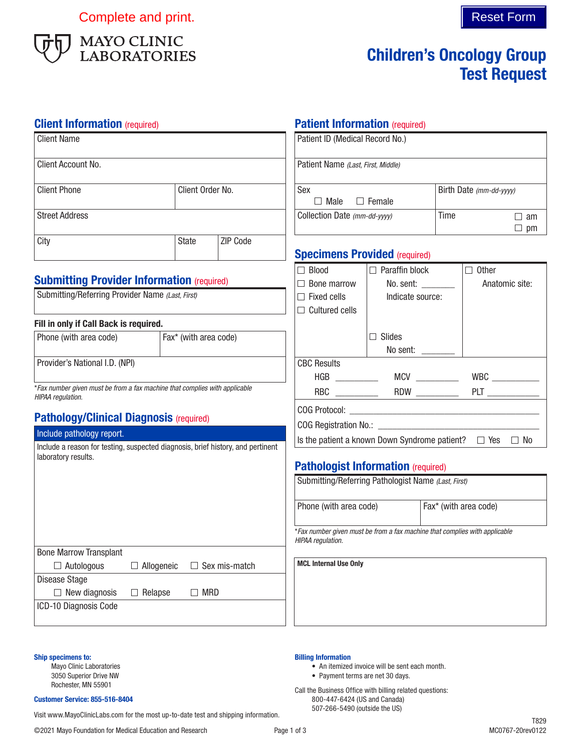Complete and print. Complete and print.



# Children's Oncology Group Test Request

**Patient Information (required)** 

## **Client Information** (required)

| <b>Client Name</b>                                                                                                   |                                                             | Patient ID (Medical Record No.) |                                                                                                 |                                                                 |                        |                                                                    |  |
|----------------------------------------------------------------------------------------------------------------------|-------------------------------------------------------------|---------------------------------|-------------------------------------------------------------------------------------------------|-----------------------------------------------------------------|------------------------|--------------------------------------------------------------------|--|
| Client Account No.                                                                                                   |                                                             |                                 | Patient Name (Last, First, Middle)                                                              |                                                                 |                        |                                                                    |  |
| <b>Client Phone</b>                                                                                                  | Client Order No.                                            |                                 | Sex<br>$\Box$ Male<br>$\Box$ Female                                                             |                                                                 |                        | Birth Date (mm-dd-yyyy)                                            |  |
| <b>Street Address</b>                                                                                                |                                                             | Collection Date (mm-dd-yyyy)    |                                                                                                 | Time                                                            | $\Box$ am<br>$\Box$ pm |                                                                    |  |
| City                                                                                                                 | <b>State</b>                                                | ZIP Code                        | <b>Specimens Provided (required)</b>                                                            |                                                                 |                        |                                                                    |  |
| <b>Submitting Provider Information (required)</b><br>Submitting/Referring Provider Name (Last, First)                |                                                             |                                 | $\Box$ Blood<br>$\Box$ Bone marrow<br>$\Box$ Fixed cells<br>$\Box$ Cultured cells               | $\Box$ Paraffin block<br>No. sent: ________<br>Indicate source: |                        | $\Box$ Other<br>Anatomic site:                                     |  |
| Fill in only if Call Back is required.<br>Phone (with area code)                                                     | Fax* (with area code)                                       |                                 |                                                                                                 | $\Box$ Slides<br>No sent: $\_\_$                                |                        |                                                                    |  |
| Provider's National I.D. (NPI)                                                                                       |                                                             |                                 | <b>CBC Results</b>                                                                              |                                                                 |                        |                                                                    |  |
| *Fax number given must be from a fax machine that complies with applicable<br>HIPAA regulation.                      |                                                             |                                 |                                                                                                 |                                                                 |                        |                                                                    |  |
| <b>Pathology/Clinical Diagnosis (required)</b>                                                                       |                                                             |                                 |                                                                                                 |                                                                 |                        |                                                                    |  |
| Include pathology report.<br>Include a reason for testing, suspected diagnosis, brief history, and pertinent         |                                                             |                                 |                                                                                                 |                                                                 |                        | Is the patient a known Down Syndrome patient? $\Box$ Yes $\Box$ No |  |
| laboratory results.                                                                                                  |                                                             |                                 | <b>Pathologist Information (required)</b>                                                       |                                                                 |                        |                                                                    |  |
|                                                                                                                      |                                                             |                                 | Submitting/Referring Pathologist Name (Last, First)                                             |                                                                 |                        |                                                                    |  |
|                                                                                                                      |                                                             |                                 | Phone (with area code)                                                                          | Fax* (with area code)                                           |                        |                                                                    |  |
|                                                                                                                      |                                                             |                                 | *Fax number given must be from a fax machine that complies with applicable<br>HIPAA regulation. |                                                                 |                        |                                                                    |  |
| <b>Bone Marrow Transplant</b><br>$\Box$ Autologous<br>Disease Stage<br>$\Box$ New diagnosis<br>ICD-10 Diagnosis Code | $\Box$ Allogeneic<br>$\Box$<br>$\Box$ MRD<br>$\Box$ Relapse | Sex mis-match                   | <b>MCL Internal Use Only</b>                                                                    |                                                                 |                        |                                                                    |  |
|                                                                                                                      |                                                             |                                 |                                                                                                 |                                                                 |                        |                                                                    |  |

#### Ship specimens to:

Mayo Clinic Laboratories 3050 Superior Drive NW Rochester, MN 55901

#### Customer Service: 855-516-8404

Visit www.MayoClinicLabs.com for the most up-to-date test and shipping information.

Billing Information

• An itemized invoice will be sent each month.

• Payment terms are net 30 days. Call the Business Office with billing related questions: 800-447-6424 (US and Canada) 507-266-5490 (outside the US)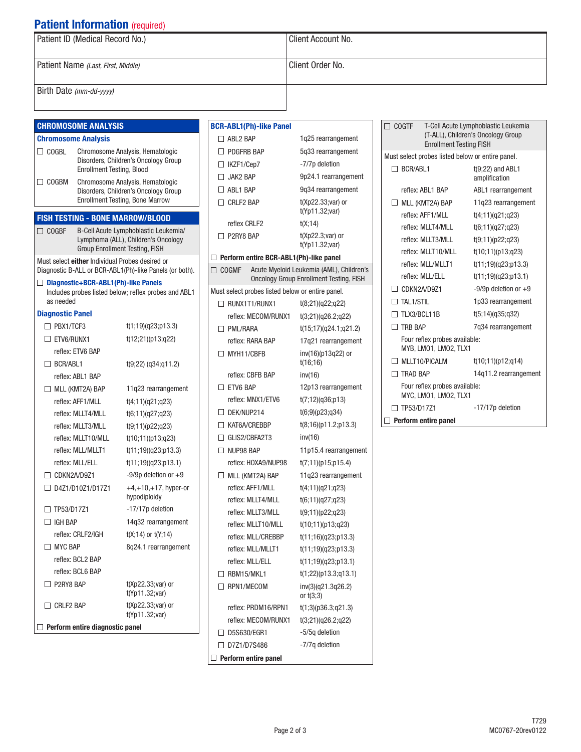# **Patient Information (required)**

| Patient ID (Medical Record No.)    | Client Account No. |
|------------------------------------|--------------------|
| Patient Name (Last, First, Middle) | Client Order No.   |
| Birth Date (mm-dd-yyyy)            |                    |

### CHROMOSOME ANALYSIS

#### Chromosome Analysis

- COGBL Chromosome Analysis, Hematologic Disorders, Children's Oncology Group Enrollment Testing, Blood COGBM Chromosome Analysis, Hematologic
- Disorders, Children's Oncology Group Enrollment Testing, Bone Marrow

### FISH TESTING - BONE MARROW/BLOOD

COGBF B-Cell Acute Lymphoblastic Leukemia/ Lymphoma (ALL), Children's Oncology Group Enrollment Testing, FISH

Must select either Individual Probes desired or Diagnostic B-ALL or BCR-ABL1(Ph)-like Panels (or both).

□ Diagnostic+BCR-ABL1(Ph)-like Panels Includes probes listed below; reflex probes and ABL1 as needed

#### Diagnostic Panel

| t(1;19)(q23;p13.3)                      |  |  |
|-----------------------------------------|--|--|
| t(12;21)(p13;q22)                       |  |  |
|                                         |  |  |
| $t(9;22)$ (q34;q11.2)                   |  |  |
|                                         |  |  |
| 11q23 rearrangement                     |  |  |
| t(4;11)(q21;q23)                        |  |  |
| t(6;11)(q27;q23)                        |  |  |
| t(9;11)(p22;q23)                        |  |  |
| t(10;11)(p13;q23)                       |  |  |
| t(11;19)(q23;p13.3)                     |  |  |
| t(11;19)(q23;p13.1)                     |  |  |
| $-9/9p$ deletion or $+9$                |  |  |
| $+4,+10,+17$ , hyper-or<br>hypodiploidy |  |  |
| -17/17p deletion                        |  |  |
| 14q32 rearrangement                     |  |  |
| $t(X; 14)$ or $t(Y; 14)$                |  |  |
| 8q24.1 rearrangement                    |  |  |
|                                         |  |  |
|                                         |  |  |
| $t(Xp22.33; var)$ or<br>t(Yp11.32;var)  |  |  |
| $t(Xp22.33; var)$ or<br>t(Yp11.32;var)  |  |  |
| Perform entire diagnostic panel         |  |  |
|                                         |  |  |

| <b>BCR-ABL1(Ph)-like Panel</b>                   |                                                                                            |  |  |
|--------------------------------------------------|--------------------------------------------------------------------------------------------|--|--|
| $\Box$ ABL2 BAP                                  | 1q25 rearrangement                                                                         |  |  |
| $\Box$ PDGFRB BAP                                | 5q33 rearrangement                                                                         |  |  |
| $\Box$ IKZF1/Cep7                                | -7/7p deletion                                                                             |  |  |
| $\Box$ JAK2 BAP                                  | 9p24.1 rearrangement                                                                       |  |  |
| $\Box$ ABL1 BAP                                  | 9q34 rearrangement                                                                         |  |  |
| $\Box$ CRLF2 BAP                                 | t(Xp22.33;var) or                                                                          |  |  |
|                                                  | t(Yp11.32;var)                                                                             |  |  |
| reflex CRLF2                                     | t(X; 14)                                                                                   |  |  |
| $\Box$ P2RY8 BAP                                 | $t(Xp22.3; var)$ or<br>t(Yp11.32;var)                                                      |  |  |
| $\Box$ Perform entire BCR-ABL1(Ph)-like panel    |                                                                                            |  |  |
| $\Box$ cogme                                     | Acute Myeloid Leukemia (AML), Children's<br><b>Oncology Group Enrollment Testing, FISH</b> |  |  |
| Must select probes listed below or entire panel. |                                                                                            |  |  |
| $\Box$ RUNX1T1/RUNX1                             | t(8;21)(q22;q22)                                                                           |  |  |
| reflex: MECOM/RUNX1                              | t(3;21)(q26.2;q22)                                                                         |  |  |
| □ PML/RARA                                       | t(15;17)(q24.1;q21.2)                                                                      |  |  |
| reflex: RARA BAP                                 | 17q21 rearrangement                                                                        |  |  |
| $\Box$ MYH11/CRFR                                | inv(16)(p13q22) or<br>t(16;16)                                                             |  |  |
| reflex: CBFB BAP                                 | inv(16)                                                                                    |  |  |
| $\Box$ ETV6 BAP                                  | 12p13 rearrangement                                                                        |  |  |
| reflex: MNX1/ETV6                                | t(7;12)(q36;p13)                                                                           |  |  |
| $\Box$ DEK/NUP214                                | t(6,9)(p23, q34)                                                                           |  |  |
| $\Box$ KAT6A/CREBBP                              | t(8;16)(p11.2;p13.3)                                                                       |  |  |
| $\Box$ GLIS2/CBFA2T3                             | inv(16)                                                                                    |  |  |
| $\Box$ NUP98 BAP                                 | 11p15.4 rearrangement                                                                      |  |  |
| reflex: HOXA9/NUP98                              | t(7;11)(p15;p15.4)                                                                         |  |  |
| $\Box$ MLL (KMT2A) BAP                           | 11q23 rearrangement                                                                        |  |  |
| reflex: AFF1/MII                                 | t(4;11)(q21;q23)                                                                           |  |  |
| reflex: MLLT4/MLL                                | t(6;11)(q27;q23)                                                                           |  |  |
| reflex: MLLT3/MLL                                | t(9;11)(p22;q23)                                                                           |  |  |
| reflex: MLLT10/MLL                               | t(10;11)(p13;q23)                                                                          |  |  |
| reflex: MLL/CREBBP                               | t(11;16)(q23;p13.3)                                                                        |  |  |
| reflex: MLL/MLLT1                                | t(11;19)(q23;p13.3)                                                                        |  |  |
| reflex: MLL/ELL                                  | t(11;19)(q23;p13.1)                                                                        |  |  |
| $\Box$ RBM15/MKL1                                | t(1;22)(p13.3;q13.1)                                                                       |  |  |
| $\Box$ RPN1/MECOM                                | inv(3)(q21.3q26.2)<br>or $t(3;3)$                                                          |  |  |
| reflex: PRDM16/RPN1                              | t(1;3)(p36.3;q21.3)                                                                        |  |  |
| reflex: MECOM/RUNX1                              | t(3;21)(q26.2;q22)                                                                         |  |  |
| □ D5S630/EGR1                                    | -5/5g deletion                                                                             |  |  |
| □ D7Z1/D7S486                                    | -7/7g deletion                                                                             |  |  |
| Perform entire panel                             |                                                                                            |  |  |

| $\Box$ COGTF             | <b>Enrollment Testing FISH</b>                         | T-Cell Acute Lymphoblastic Leukemia<br>(T-ALL), Children's Oncology Group |
|--------------------------|--------------------------------------------------------|---------------------------------------------------------------------------|
|                          | Must select probes listed below or entire panel.       |                                                                           |
| П.                       | BCR/ABL1                                               | $t(9;22)$ and ABL1<br>amplification                                       |
|                          | reflex: ARI 1 RAP                                      | ABL1 rearrangement                                                        |
|                          | $\Box$ MLL (KMT2A) BAP                                 | 11g23 rearrangement                                                       |
|                          | reflex: AFF1/MII                                       | t(4;11)(q21;q23)                                                          |
|                          | reflex: MLLT4/MLL                                      | t(6;11)(q27;q23)                                                          |
|                          | reflex: MI IT3/MI I                                    | t(9;11)(p22;q23)                                                          |
|                          | reflex: MLLT10/MLL                                     | t(10;11)(p13;q23)                                                         |
|                          | reflex: MLL/MLLT1                                      | t(11;19)(q23;p13.3)                                                       |
|                          | reflex: MI I /FI I                                     | t(11;19)(q23;p13.1)                                                       |
|                          | $\Box$ CDKN2A/D971                                     | $-9/9p$ deletion or $+9$                                                  |
|                          | $\Box$ tai 1/stii                                      | 1p33 rearrangement                                                        |
|                          | $\Box$ TI X3/BCI 11B                                   | t(5;14)(q35;q32)                                                          |
|                          | $\Box$ TRB BAP                                         | 7g34 rearrangement                                                        |
|                          | Four reflex probes available:<br>MYB, LMO1, LMO2, TLX1 |                                                                           |
|                          | MLLT10/PICALM                                          | t(10;11)(p12;q14)                                                         |
| $\overline{\phantom{a}}$ | <b>TRAD BAP</b>                                        | 14g11.2 rearrangement                                                     |
|                          | Four reflex probes available:<br>MYC, LMO1, LMO2, TLX1 |                                                                           |
|                          | TP53/D1771                                             | -17/17p deletion                                                          |
|                          | Perform entire panel                                   |                                                                           |